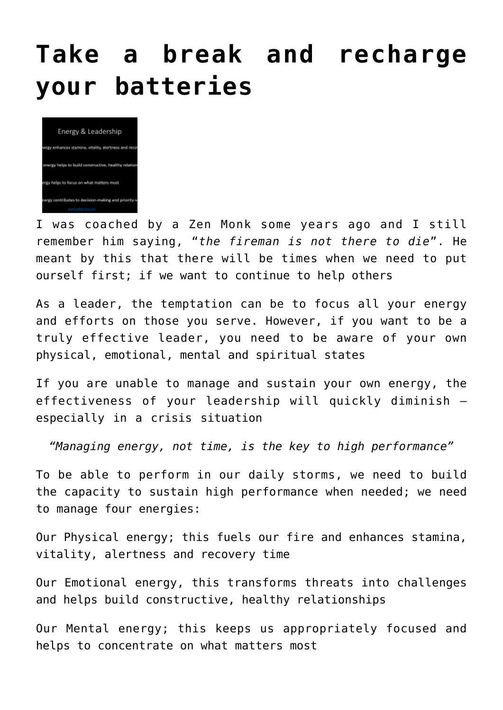## **[Take a break and recharge](http://boblarcher.com/leadership/take-a-break-and-recharge-your-batteries/) [your batteries](http://boblarcher.com/leadership/take-a-break-and-recharge-your-batteries/)**



I was coached by a Zen Monk some years ago and I still remember him saying, "*the fireman is not there to die*". He meant by this that there will be times when we need to put ourself first; if we want to continue to help others

As a leader, the temptation can be to focus all your energy and efforts on those you serve. However, if you want to be a truly effective leader, you need to be aware of your own physical, emotional, mental and spiritual states

If you are unable to manage and sustain your own energy, the effectiveness of your leadership will quickly diminish – especially in a crisis situation

*"Managing energy, not time, is the key to high performance"*

To be able to perform in our daily storms, we need to build the capacity to sustain high performance when needed; we need to manage four energies:

Our Physical energy; this fuels our fire and enhances stamina, vitality, alertness and recovery time

Our Emotional energy, this transforms threats into challenges and helps build constructive, healthy relationships

Our Mental energy; this keeps us appropriately focused and helps to concentrate on what matters most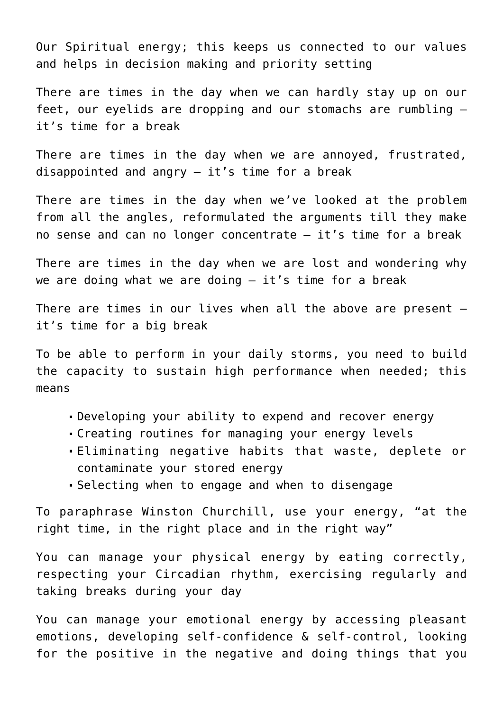Our Spiritual energy; this keeps us connected to our values and helps in decision making and priority setting

There are times in the day when we can hardly stay up on our feet, our eyelids are dropping and our stomachs are rumbling – it's time for a break

There are times in the day when we are annoyed, frustrated, disappointed and angry  $-$  it's time for a break

There are times in the day when we've looked at the problem from all the angles, reformulated the arguments till they make no sense and can no longer concentrate – it's time for a break

There are times in the day when we are lost and wondering why we are doing what we are doing  $-$  it's time for a break

There are times in our lives when all the above are present  $$ it's time for a big break

To be able to perform in your daily storms, you need to build the capacity to sustain high performance when needed; this means

- Developing your ability to expend and recover energy
- Creating routines for managing your energy levels
- Eliminating negative habits that waste, deplete or contaminate your stored energy
- Selecting when to engage and when to disengage

To paraphrase Winston Churchill, use your energy, "at the right time, in the right place and in the right way"

You can manage your physical energy by eating correctly, respecting your Circadian rhythm, exercising regularly and taking breaks during your day

You can manage your emotional energy by accessing pleasant emotions, developing self-confidence & self-control, looking for the positive in the negative and doing things that you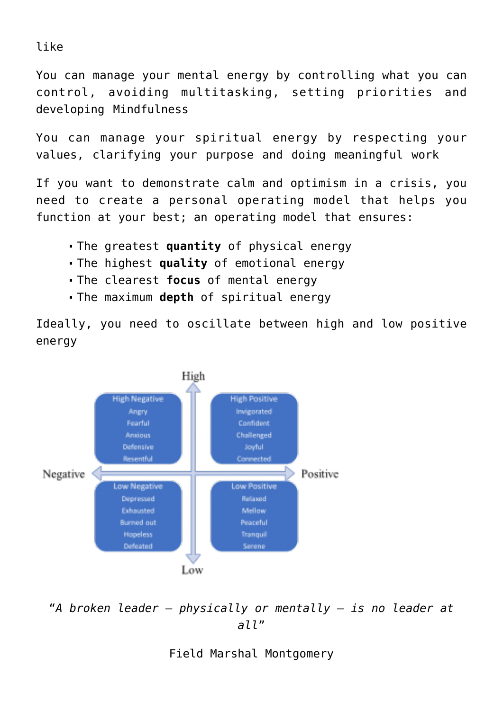like

You can manage your mental energy by controlling what you can control, avoiding multitasking, setting priorities and developing Mindfulness

You can manage your spiritual energy by respecting your values, clarifying your purpose and doing meaningful work

If you want to demonstrate calm and optimism in a crisis, you need to create a personal operating model that helps you function at your best; an operating model that ensures:

- The greatest **quantity** of physical energy
- The highest **quality** of emotional energy
- The clearest **focus** of mental energy
- The maximum **depth** of spiritual energy

Ideally, you need to oscillate between high and low positive energy



"*A broken leader – physically or mentally – is no leader at all*"